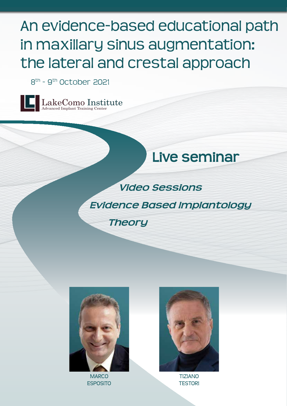# An evidence-based educational path in maxillary sinus augmentation: the lateral and crestal approach

8th - 9th October 2021





*Video Sessions Evidence Based Implantology Theory*



**MARCO** esposito la kecomo institute de la kecomo institute de la kecomo Institute de la kecomo Institute de la kecomo<br>La como Institute de la kecomo Institute de la kecomo Institute de la kecomo Institute de la kecomo Institute



TIZIANO **TESTORI**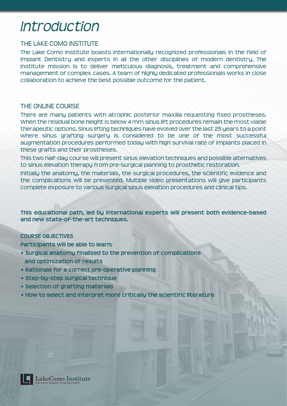## *Introduction Faculty Streaming Program*

#### THE LAKE COMO INSTITUTE

The Lake Como Institute boasts internationally recognized professionals in the field of Implant Dentistry and experts in all the other disciplines of modern dentistry. The Institute mission is to deliver meticulous diagnosis, treatment and comprehensive management of complex cases. A team of highly dedicated professionals works in close collaboration to achieve the best possible outcome for the patient.

#### THE ONLINE COURSE

There are many patients with atrophic posterior maxilla requesting fixed prostheses. When the residual bone height is below 4 mm sinus lift procedures remain the most viable therapeutic options. Sinus lifting techniques have evolved over the last 25 years to a point where sinus grafting surgery is considered to be one of the most successful augmentation procedures performed today with high survival rate of implants placed in these grafts and their prostheses.

This two half-day course will present sinus elevation techniques and possible alternatives to sinus elevation therapy from pre-surgical planning to prosthetic restoration.

Initially the anatomy, the materials, the surgical procedures, the scientific evidence and the complications will be presented. Multiple video presentations will give participants complete exposure to various surgical sinus elevation procedures and clinical tips.

**This educational path, led by international experts will present both evidence-based and new state-of-the-art techniques.** 

#### **COURSE OBJECTIVES**

**Participants will be able to learn:**

- **Surgical anatomy finalized to the prevention of complications** and optimization of results
- **Rationale for a correct pre-operative planning**
- **Step-by-step surgical technique**
- **Selection of grafting materials**
- **How to select and interpret more critically the scientific literature**



LakeComo Institute Advanced Implant Training Center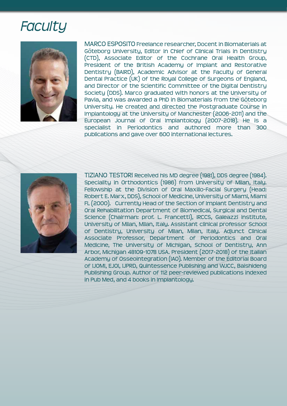## *Faculty Streaming Programme Streaming Programme Streaming Programme Streaming Programme Streaming Programme* **Streaming Programme**



MARCO ESPOSITO Freelance researcher, Docent in Biomaterials at Göteborg University, Editor in Chief of Clinical Trials in Dentistry (CTD), Associate Editor of the Cochrane Oral Health Group, President of the British Academy of Implant and Restorative Dentistry (BAIRD), Academic Advisor at the Faculty of General Dental Practice (UK) of the Royal College of Surgeons of England, and Director of the Scientific Committee of the Digital Dentistry Society (DDS). Marco graduated with honors at the University of Pavia, and was awarded a PhD in Biomaterials from the Göteborg University. He created and directed the Postgraduate Course in Implantology at the University of Manchester (2006-2011) and the European Journal of Oral Implantology (2007-2018). He is a specialist in Periodontics and authored more than 300 publications and gave over 600 international lectures.



TIZIANO TESTORI Received his MD degree (1981), DDS degree (1984). Speciality in Orthodontics (1986) from University of Milan, Italy. Fellowship at the Division of Oral Maxillo-Facial Surgery (Head: Robert E. Marx, DDS), School of Medicine, University of Miami, Miami FL (2000). Currently Head of the Section of Implant Dentistry and Oral Rehabilitation Department of Biomedical, Surgical and Dental Science (Chairman: prof. L. Francetti), IRCCS, Galeazzi Institute, University of Milan, Milan, Italy. Assistant clinical professor School of Dentistry, University of Milan, Milan, Italy. Adjunct Clinical Associate Professor, Department of Periodontics and Oral Medicine, The University of Michigan, School of Dentistry, Ann Arbor, Michigan 48109-1078 USA. President (2017-2018) of the Italian Academy of Osseointegration (IAO). Member of the Editorial Board of IJOMI, EJOI, IJPRD, Quintessence Publishing and WJCC, Baishideng Publishing Group. Author of 112 peer-reviewed publications indexed in Pub Med, and 4 books in Implantology.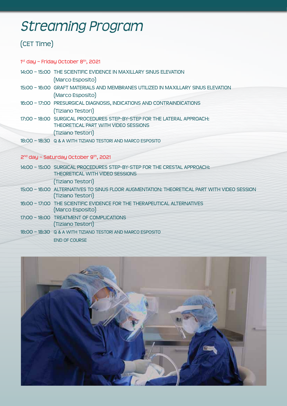### *Introduction Faculty Streaming Program*

### (CET Time)

1<sup>st</sup> day – Friday October 8<sup>th</sup>, 2021

14:00 – 15:00 THE SCIENTIFIC EVIDENCE IN MAXILLARY SINUS ELEVATION

(Marco Esposito)

- 15:00 16:00 GRAFT MATERIALS AND MEMBRANES UTILIZED IN MAXILLARY SINUS ELEVATION (Marco Esposito)
- 16:00 17:00 PRESURGICAL DIAGNOSIS, INDICATIONS AND CONTRAINDICATIONS (Tiziano Testori)
- 17:00 18:00 SURGICAL PROCEDURES STEP-BY-STEP FOR THE LATERAL APPROACH: THEORETICAL PART WITH VIDEO SESSIONS (Tiziano Testori)
- 18:00 18:30 Q & A WITH TIZIANO TESTORI AND MARCO ESPOSITO

#### 2<sup>nd</sup> day - Saturday October 9<sup>th</sup>, 2021

| 14:00 - 15:00 SURGICAL PROCEDURES STEP-BY-STEP FOR THE CRESTAL APPROACH:<br>THEORETICAL WITH VIDEO SESSIONS      |
|------------------------------------------------------------------------------------------------------------------|
| (Tiziano Testori)                                                                                                |
| 15:00 - 16:00 ALTERNATIVES TO SINUS FLOOR AUGMENTATION: THEORETICAL PART WITH VIDEO SESSION<br>(Tiziano Testori) |
| 16:00 - 17:00 THE SCIENTIFIC EVIDENCE FOR THE THERAPEUTICAL ALTERNATIVES<br>(Marco Esposito)                     |
| 17:00 - 18:00 TREATMENT OF COMPLICATIONS<br>(Tiziano Testori)                                                    |
| 18:00 - 18:30 Q & A WITH TIZIANO TESTORI AND MARCO ESPOSITO                                                      |
| <b>END OF COURSE</b>                                                                                             |

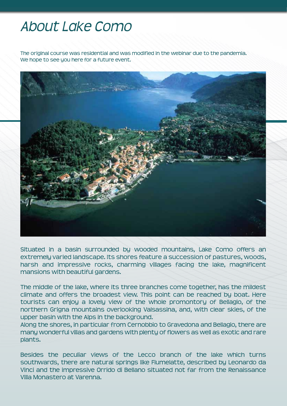## *About Lake Como Information and contacts* An evidence-based educational path

The original course was residential and was modified in the webinar due to the pandemia. We hope to see you here for a future event.



Situated in a basin surrounded by wooded mountains, Lake Como offers an extremely varied landscape. Its shores feature a succession of pastures, woods, harsh and impressive rocks, charming villages facing the lake, magnificent mansions with beautiful gardens.

The middle of the lake, where its three branches come together, has the mildest climate and offers the broadest view. This point can be reached by boat. Here tourists can enjoy a lovely view of the whole promontory of Bellagio, of the northern Grigna mountains overlooking Valsassina, and, with clear skies, of the upper basin with the Alps in the background.

Along the shores, in particular from Cernobbio to Gravedona and Bellagio, there are many wonderful villas and gardens with plenty of flowers as well as exotic and rare plants.

Besides the peculiar views of the Lecco branch of the lake which turns southwards, there are natural springs like Fiumelatte, described by Leonardo da Vinci and the impressive Orrido di Bellano situated not far from the Renaissance Villa Monastero at Varenna.